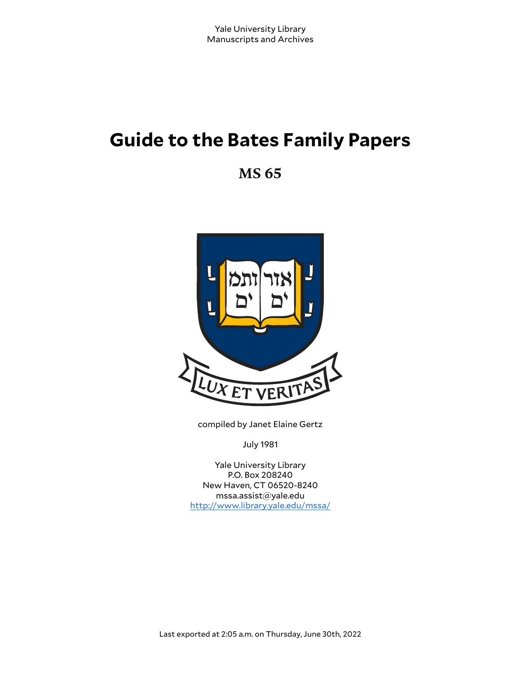# **Guide to the Bates Family Papers**

**MS 65**



compiled by Janet Elaine Gertz

July 1981

Yale University Library P.O. Box 208240 New Haven, CT 06520-8240 mssa.assist@yale.edu <http://www.library.yale.edu/mssa/>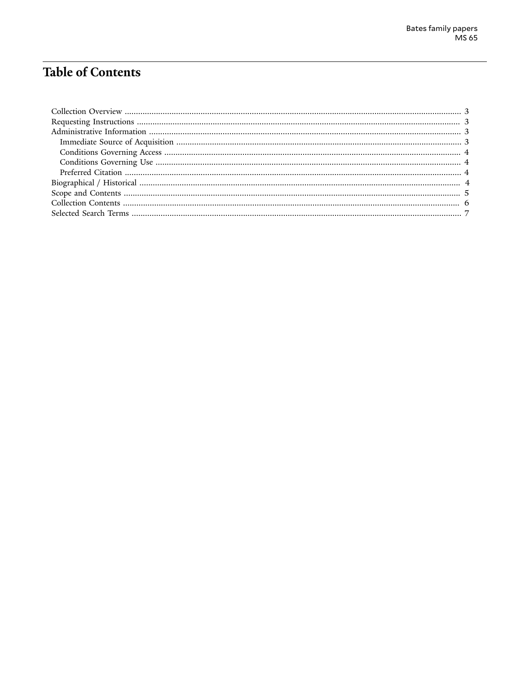# **Table of Contents**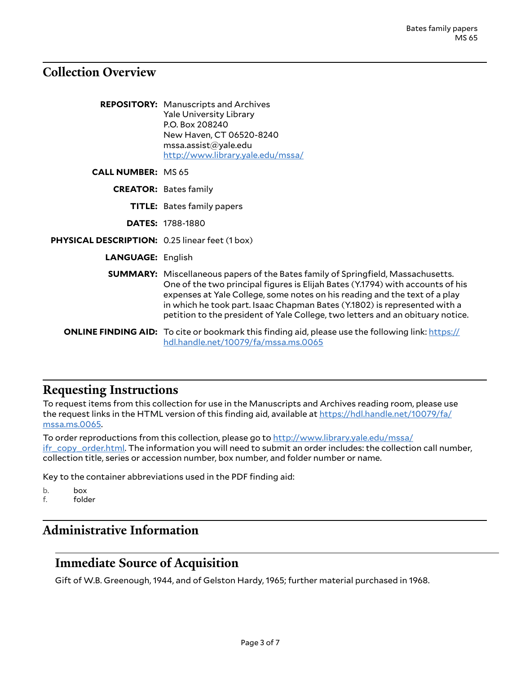## <span id="page-2-0"></span>**Collection Overview**

|                                                       | <b>REPOSITORY:</b> Manuscripts and Archives<br><b>Yale University Library</b><br>P.O. Box 208240<br>New Haven, CT 06520-8240<br>msa. assist@yale.edu<br>http://www.library.yale.edu/mssa/                                                                                                                                                                                                                              |
|-------------------------------------------------------|------------------------------------------------------------------------------------------------------------------------------------------------------------------------------------------------------------------------------------------------------------------------------------------------------------------------------------------------------------------------------------------------------------------------|
| <b>CALL NUMBER: MS 65</b>                             |                                                                                                                                                                                                                                                                                                                                                                                                                        |
|                                                       | <b>CREATOR: Bates family</b>                                                                                                                                                                                                                                                                                                                                                                                           |
|                                                       | <b>TITLE:</b> Bates family papers                                                                                                                                                                                                                                                                                                                                                                                      |
|                                                       | <b>DATES: 1788-1880</b>                                                                                                                                                                                                                                                                                                                                                                                                |
| <b>PHYSICAL DESCRIPTION: 0.25 linear feet (1 box)</b> |                                                                                                                                                                                                                                                                                                                                                                                                                        |
| <b>LANGUAGE: English</b>                              |                                                                                                                                                                                                                                                                                                                                                                                                                        |
|                                                       | <b>SUMMARY:</b> Miscellaneous papers of the Bates family of Springfield, Massachusetts.<br>One of the two principal figures is Elijah Bates (Y.1794) with accounts of his<br>expenses at Yale College, some notes on his reading and the text of a play<br>in which he took part. Isaac Chapman Bates (Y.1802) is represented with a<br>petition to the president of Yale College, two letters and an obituary notice. |
|                                                       | <b>ONLINE FINDING AID:</b> To cite or bookmark this finding aid, please use the following link: https://<br>hdl.handle.net/10079/fa/mssa.ms.0065                                                                                                                                                                                                                                                                       |

### <span id="page-2-1"></span>**Requesting Instructions**

To request items from this collection for use in the Manuscripts and Archives reading room, please use the request links in the HTML version of this finding aid, available at [https://hdl.handle.net/10079/fa/](https://hdl.handle.net/10079/fa/mssa.ms.0065) [mssa.ms.0065.](https://hdl.handle.net/10079/fa/mssa.ms.0065)

To order reproductions from this collection, please go to [http://www.library.yale.edu/mssa/](http://www.library.yale.edu/mssa/ifr_copy_order.html) [ifr\\_copy\\_order.html.](http://www.library.yale.edu/mssa/ifr_copy_order.html) The information you will need to submit an order includes: the collection call number, collection title, series or accession number, box number, and folder number or name.

Key to the container abbreviations used in the PDF finding aid:

- b. box<br>f. fold
- folder

# <span id="page-2-2"></span>**Administrative Information**

### <span id="page-2-3"></span>**Immediate Source of Acquisition**

Gift of W.B. Greenough, 1944, and of Gelston Hardy, 1965; further material purchased in 1968.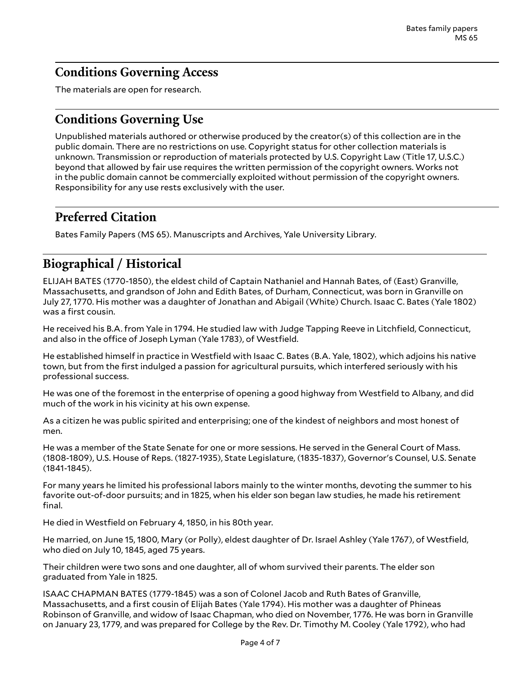# <span id="page-3-0"></span>**Conditions Governing Access**

The materials are open for research.

# <span id="page-3-1"></span>**Conditions Governing Use**

Unpublished materials authored or otherwise produced by the creator(s) of this collection are in the public domain. There are no restrictions on use. Copyright status for other collection materials is unknown. Transmission or reproduction of materials protected by U.S. Copyright Law (Title 17, U.S.C.) beyond that allowed by fair use requires the written permission of the copyright owners. Works not in the public domain cannot be commercially exploited without permission of the copyright owners. Responsibility for any use rests exclusively with the user.

# <span id="page-3-2"></span>**Preferred Citation**

Bates Family Papers (MS 65). Manuscripts and Archives, Yale University Library.

# <span id="page-3-3"></span>**Biographical / Historical**

ELIJAH BATES (1770-1850), the eldest child of Captain Nathaniel and Hannah Bates, of (East) Granville, Massachusetts, and grandson of John and Edith Bates, of Durham, Connecticut, was born in Granville on July 27, 1770. His mother was a daughter of Jonathan and Abigail (White) Church. Isaac C. Bates (Yale 1802) was a first cousin.

He received his B.A. from Yale in 1794. He studied law with Judge Tapping Reeve in Litchfield, Connecticut, and also in the office of Joseph Lyman (Yale 1783), of Westfield.

He established himself in practice in Westfield with Isaac C. Bates (B.A. Yale, 1802), which adjoins his native town, but from the first indulged a passion for agricultural pursuits, which interfered seriously with his professional success.

He was one of the foremost in the enterprise of opening a good highway from Westfield to Albany, and did much of the work in his vicinity at his own expense.

As a citizen he was public spirited and enterprising; one of the kindest of neighbors and most honest of men.

He was a member of the State Senate for one or more sessions. He served in the General Court of Mass. (1808-1809), U.S. House of Reps. (1827-1935), State Legislature, (1835-1837), Governor's Counsel, U.S. Senate (1841-1845).

For many years he limited his professional labors mainly to the winter months, devoting the summer to his favorite out-of-door pursuits; and in 1825, when his elder son began law studies, he made his retirement final.

He died in Westfield on February 4, 1850, in his 80th year.

He married, on June 15, 1800, Mary (or Polly), eldest daughter of Dr. Israel Ashley (Yale 1767), of Westfield, who died on July 10, 1845, aged 75 years.

Their children were two sons and one daughter, all of whom survived their parents. The elder son graduated from Yale in 1825.

ISAAC CHAPMAN BATES (1779-1845) was a son of Colonel Jacob and Ruth Bates of Granville, Massachusetts, and a first cousin of Elijah Bates (Yale 1794). His mother was a daughter of Phineas Robinson of Granville, and widow of Isaac Chapman, who died on November, 1776. He was born in Granville on January 23, 1779, and was prepared for College by the Rev. Dr. Timothy M. Cooley (Yale 1792), who had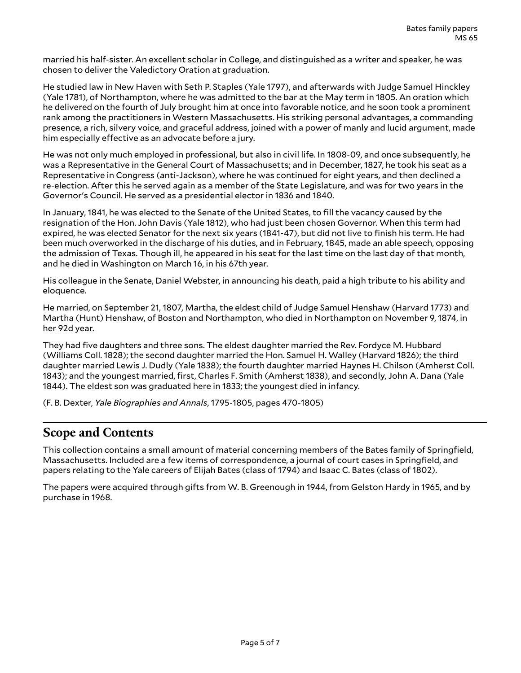married his half-sister. An excellent scholar in College, and distinguished as a writer and speaker, he was chosen to deliver the Valedictory Oration at graduation.

He studied law in New Haven with Seth P. Staples (Yale 1797), and afterwards with Judge Samuel Hinckley (Yale 1781), of Northampton, where he was admitted to the bar at the May term in 1805. An oration which he delivered on the fourth of July brought him at once into favorable notice, and he soon took a prominent rank among the practitioners in Western Massachusetts. His striking personal advantages, a commanding presence, a rich, silvery voice, and graceful address, joined with a power of manly and lucid argument, made him especially effective as an advocate before a jury.

He was not only much employed in professional, but also in civil life. In 1808-09, and once subsequently, he was a Representative in the General Court of Massachusetts; and in December, 1827, he took his seat as a Representative in Congress (anti-Jackson), where he was continued for eight years, and then declined a re-election. After this he served again as a member of the State Legislature, and was for two years in the Governor's Council. He served as a presidential elector in 1836 and 1840.

In January, 1841, he was elected to the Senate of the United States, to fill the vacancy caused by the resignation of the Hon. John Davis (Yale 1812), who had just been chosen Governor. When this term had expired, he was elected Senator for the next six years (1841-47), but did not live to finish his term. He had been much overworked in the discharge of his duties, and in February, 1845, made an able speech, opposing the admission of Texas. Though ill, he appeared in his seat for the last time on the last day of that month, and he died in Washington on March 16, in his 67th year.

His colleague in the Senate, Daniel Webster, in announcing his death, paid a high tribute to his ability and eloquence.

He married, on September 21, 1807, Martha, the eldest child of Judge Samuel Henshaw (Harvard 1773) and Martha (Hunt) Henshaw, of Boston and Northampton, who died in Northampton on November 9, 1874, in her 92d year.

They had five daughters and three sons. The eldest daughter married the Rev. Fordyce M. Hubbard (Williams Coll. 1828); the second daughter married the Hon. Samuel H. Walley (Harvard 1826); the third daughter married Lewis J. Dudly (Yale 1838); the fourth daughter married Haynes H. Chilson (Amherst Coll. 1843); and the youngest married, first, Charles F. Smith (Amherst 1838), and secondly, John A. Dana (Yale 1844). The eldest son was graduated here in 1833; the youngest died in infancy.

(F. B. Dexter, *Yale Biographies and Annals*, 1795-1805, pages 470-1805)

### <span id="page-4-0"></span>**Scope and Contents**

This collection contains a small amount of material concerning members of the Bates family of Springfield, Massachusetts. Included are a few items of correspondence, a journal of court cases in Springfield, and papers relating to the Yale careers of Elijah Bates (class of 1794) and Isaac C. Bates (class of 1802).

The papers were acquired through gifts from W. B. Greenough in 1944, from Gelston Hardy in 1965, and by purchase in 1968.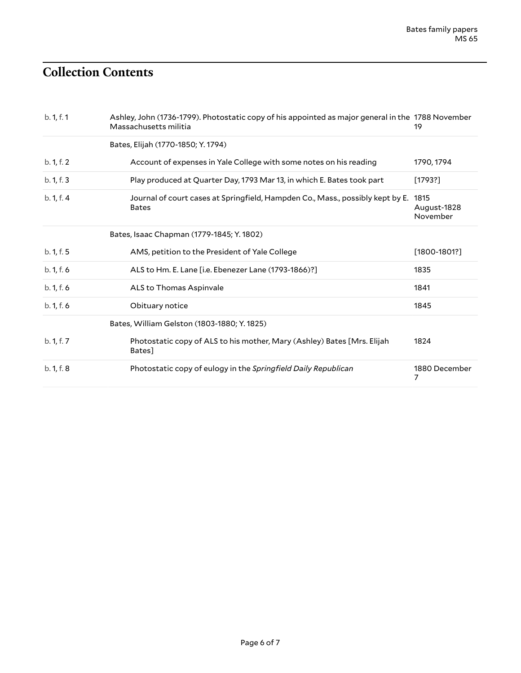# <span id="page-5-0"></span>**Collection Contents**

| b. 1, f. 1 | Ashley, John (1736-1799). Photostatic copy of his appointed as major general in the 1788 November<br>Massachusetts militia | 19                              |
|------------|----------------------------------------------------------------------------------------------------------------------------|---------------------------------|
|            | Bates, Elijah (1770-1850; Y. 1794)                                                                                         |                                 |
| b. 1, f. 2 | Account of expenses in Yale College with some notes on his reading                                                         | 1790, 1794                      |
| b. 1, f. 3 | Play produced at Quarter Day, 1793 Mar 13, in which E. Bates took part                                                     | [1793?]                         |
| b. 1, f. 4 | Journal of court cases at Springfield, Hampden Co., Mass., possibly kept by E.<br><b>Bates</b>                             | 1815<br>August-1828<br>November |
|            | Bates, Isaac Chapman (1779-1845; Y. 1802)                                                                                  |                                 |
| b. 1, f. 5 | AMS, petition to the President of Yale College                                                                             | $[1800 - 1801$ ?                |
| b. 1, f. 6 | ALS to Hm. E. Lane [i.e. Ebenezer Lane (1793-1866)?]                                                                       | 1835                            |
| b. 1, f. 6 | ALS to Thomas Aspinvale                                                                                                    | 1841                            |
| b. 1, f. 6 | Obituary notice                                                                                                            | 1845                            |
|            | Bates, William Gelston (1803-1880; Y. 1825)                                                                                |                                 |
| b. 1, f. 7 | Photostatic copy of ALS to his mother, Mary (Ashley) Bates [Mrs. Elijah<br>Bates]                                          | 1824                            |
| b. 1, f. 8 | Photostatic copy of eulogy in the Springfield Daily Republican                                                             | 1880 December<br>7              |